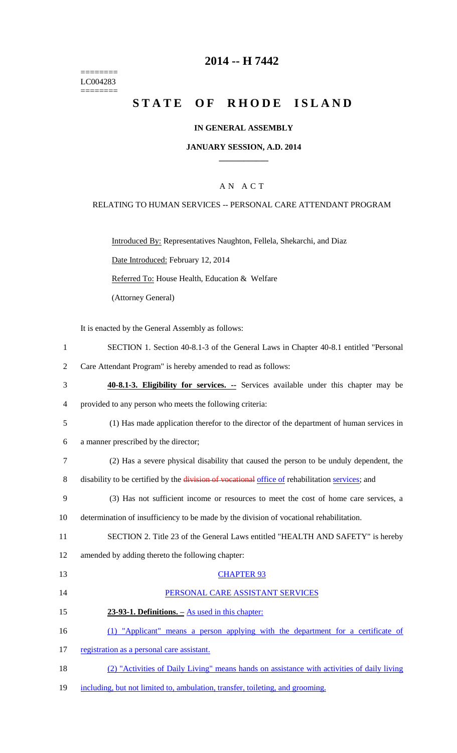======== LC004283 ========

# **2014 -- H 7442**

# **STATE OF RHODE ISLAND**

### **IN GENERAL ASSEMBLY**

### **JANUARY SESSION, A.D. 2014 \_\_\_\_\_\_\_\_\_\_\_\_**

### A N A C T

### RELATING TO HUMAN SERVICES -- PERSONAL CARE ATTENDANT PROGRAM

Introduced By: Representatives Naughton, Fellela, Shekarchi, and Diaz

Date Introduced: February 12, 2014

Referred To: House Health, Education & Welfare

(Attorney General)

It is enacted by the General Assembly as follows:

- 1 SECTION 1. Section 40-8.1-3 of the General Laws in Chapter 40-8.1 entitled "Personal
- 2 Care Attendant Program" is hereby amended to read as follows:
- 3 **40-8.1-3. Eligibility for services. --** Services available under this chapter may be
- 4 provided to any person who meets the following criteria:
- 5 (1) Has made application therefor to the director of the department of human services in
- 6 a manner prescribed by the director;
- 7 (2) Has a severe physical disability that caused the person to be unduly dependent, the
- 8 disability to be certified by the division of vocational office of rehabilitation services; and
- 9 (3) Has not sufficient income or resources to meet the cost of home care services, a
- 10 determination of insufficiency to be made by the division of vocational rehabilitation.
- 11 SECTION 2. Title 23 of the General Laws entitled "HEALTH AND SAFETY" is hereby
- 12 amended by adding thereto the following chapter:

#### 13 CHAPTER 93

- 14 PERSONAL CARE ASSISTANT SERVICES
- 15 **23-93-1. Definitions. –** As used in this chapter:
- 16 (1) "Applicant" means a person applying with the department for a certificate of
- 17 registration as a personal care assistant.
- 18 (2) "Activities of Daily Living" means hands on assistance with activities of daily living
- 19 including, but not limited to, ambulation, transfer, toileting, and grooming.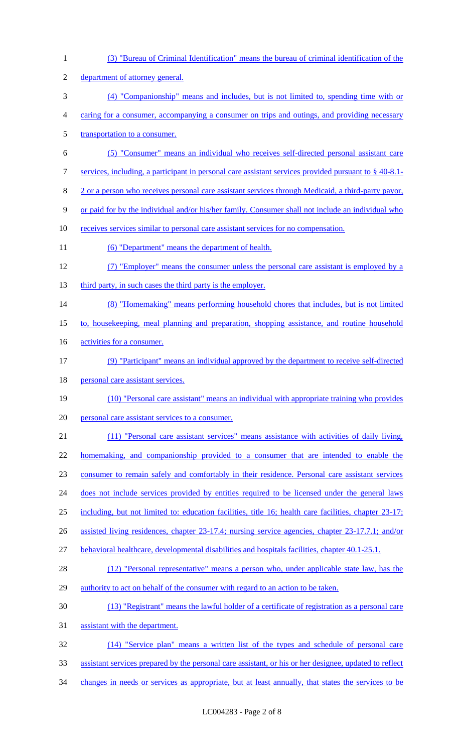(3) "Bureau of Criminal Identification" means the bureau of criminal identification of the department of attorney general. (4) "Companionship" means and includes, but is not limited to, spending time with or caring for a consumer, accompanying a consumer on trips and outings, and providing necessary 5 transportation to a consumer. (5) "Consumer" means an individual who receives self-directed personal assistant care services, including, a participant in personal care assistant services provided pursuant to § 40-8.1- 2 or a person who receives personal care assistant services through Medicaid, a third-party payor, or paid for by the individual and/or his/her family. Consumer shall not include an individual who receives services similar to personal care assistant services for no compensation. 11 (6) "Department" means the department of health. (7) "Employer" means the consumer unless the personal care assistant is employed by a 13 third party, in such cases the third party is the employer. (8) "Homemaking" means performing household chores that includes, but is not limited to, housekeeping, meal planning and preparation, shopping assistance, and routine household 16 activities for a consumer. (9) "Participant" means an individual approved by the department to receive self-directed 18 personal care assistant services. (10) "Personal care assistant" means an individual with appropriate training who provides personal care assistant services to a consumer. (11) "Personal care assistant services" means assistance with activities of daily living, homemaking, and companionship provided to a consumer that are intended to enable the consumer to remain safely and comfortably in their residence. Personal care assistant services 24 does not include services provided by entities required to be licensed under the general laws including, but not limited to: education facilities, title 16; health care facilities, chapter 23-17; assisted living residences, chapter 23-17.4; nursing service agencies, chapter 23-17.7.1; and/or behavioral healthcare, developmental disabilities and hospitals facilities, chapter 40.1-25.1. 28 (12) "Personal representative" means a person who, under applicable state law, has the authority to act on behalf of the consumer with regard to an action to be taken. (13) "Registrant" means the lawful holder of a certificate of registration as a personal care assistant with the department. (14) "Service plan" means a written list of the types and schedule of personal care assistant services prepared by the personal care assistant, or his or her designee, updated to reflect 34 changes in needs or services as appropriate, but at least annually, that states the services to be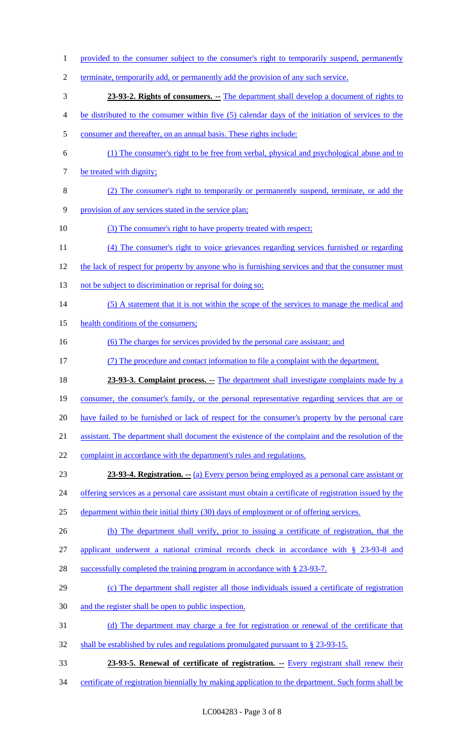- 1 provided to the consumer subject to the consumer's right to temporarily suspend, permanently
- terminate, temporarily add, or permanently add the provision of any such service.
- **23-93-2. Rights of consumers. --** The department shall develop a document of rights to
- be distributed to the consumer within five (5) calendar days of the initiation of services to the
- consumer and thereafter, on an annual basis. These rights include:
- (1) The consumer's right to be free from verbal, physical and psychological abuse and to 7 be treated with dignity;
- (2) The consumer's right to temporarily or permanently suspend, terminate, or add the
- provision of any services stated in the service plan;
- (3) The consumer's right to have property treated with respect;
- (4) The consumer's right to voice grievances regarding services furnished or regarding
- 12 the lack of respect for property by anyone who is furnishing services and that the consumer must
- 13 not be subject to discrimination or reprisal for doing so;
- 14 (5) A statement that it is not within the scope of the services to manage the medical and
- 15 health conditions of the consumers;
- 16 (6) The charges for services provided by the personal care assistant; and
- (7) The procedure and contact information to file a complaint with the department.
- **23-93-3. Complaint process.** -- The department shall investigate complaints made by a
- consumer, the consumer's family, or the personal representative regarding services that are or
- 20 have failed to be furnished or lack of respect for the consumer's property by the personal care
- assistant. The department shall document the existence of the complaint and the resolution of the
- 22 complaint in accordance with the department's rules and regulations.
- **23-93-4. Registration.** -- (a) Every person being employed as a personal care assistant or
- 24 offering services as a personal care assistant must obtain a certificate of registration issued by the
- department within their initial thirty (30) days of employment or of offering services.
- (b) The department shall verify, prior to issuing a certificate of registration, that the
- applicant underwent a national criminal records check in accordance with § 23-93-8 and
- 28 successfully completed the training program in accordance with § 23-93-7.
- (c) The department shall register all those individuals issued a certificate of registration
- and the register shall be open to public inspection.
- (d) The department may charge a fee for registration or renewal of the certificate that
- shall be established by rules and regulations promulgated pursuant to § 23-93-15.
- **23-93-5. Renewal of certificate of registration. --** Every registrant shall renew their
- 34 certificate of registration biennially by making application to the department. Such forms shall be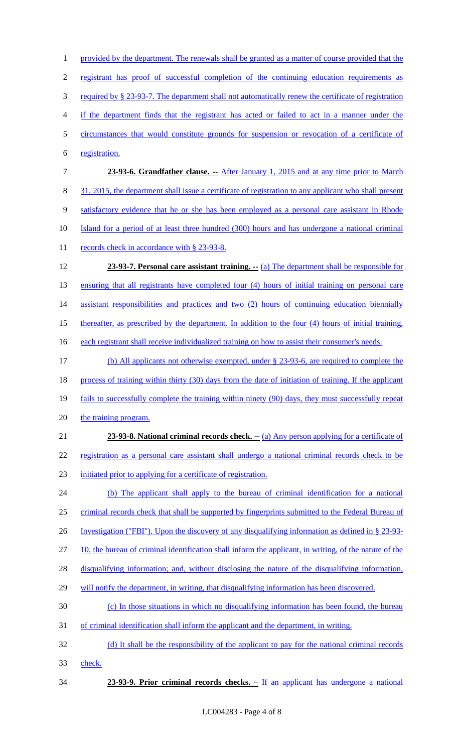1 provided by the department. The renewals shall be granted as a matter of course provided that the registrant has proof of successful completion of the continuing education requirements as required by § 23-93-7. The department shall not automatically renew the certificate of registration if the department finds that the registrant has acted or failed to act in a manner under the circumstances that would constitute grounds for suspension or revocation of a certificate of registration. **23-93-6. Grandfather clause. --** After January 1, 2015 and at any time prior to March 31, 2015, the department shall issue a certificate of registration to any applicant who shall present satisfactory evidence that he or she has been employed as a personal care assistant in Rhode Island for a period of at least three hundred (300) hours and has undergone a national criminal 11 records check in accordance with § 23-93-8. **23-93-7. Personal care assistant training. --** (a) The department shall be responsible for ensuring that all registrants have completed four (4) hours of initial training on personal care 14 assistant responsibilities and practices and two (2) hours of continuing education biennially thereafter, as prescribed by the department. In addition to the four (4) hours of initial training, 16 each registrant shall receive individualized training on how to assist their consumer's needs. (b) All applicants not otherwise exempted, under § 23-93-6, are required to complete the 18 process of training within thirty (30) days from the date of initiation of training. If the applicant fails to successfully complete the training within ninety (90) days, they must successfully repeat 20 the training program. **23-93-8. National criminal records check.** -- (a) Any person applying for a certificate of registration as a personal care assistant shall undergo a national criminal records check to be initiated prior to applying for a certificate of registration. (b) The applicant shall apply to the bureau of criminal identification for a national 25 criminal records check that shall be supported by fingerprints submitted to the Federal Bureau of Investigation ("FBI"). Upon the discovery of any disqualifying information as defined in § 23-93- 10, the bureau of criminal identification shall inform the applicant, in writing, of the nature of the disqualifying information; and, without disclosing the nature of the disqualifying information, 29 will notify the department, in writing, that disqualifying information has been discovered. (c) In those situations in which no disqualifying information has been found, the bureau of criminal identification shall inform the applicant and the department, in writing. (d) It shall be the responsibility of the applicant to pay for the national criminal records check. **23-93-9. Prior criminal records checks. –** If an applicant has undergone a national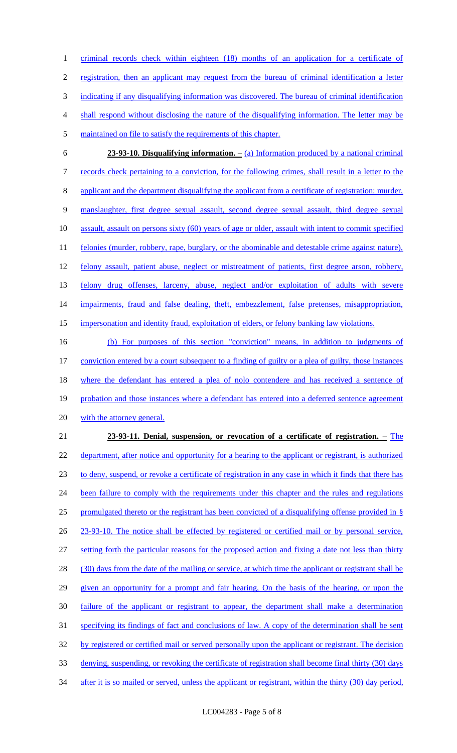criminal records check within eighteen (18) months of an application for a certificate of registration, then an applicant may request from the bureau of criminal identification a letter indicating if any disqualifying information was discovered. The bureau of criminal identification shall respond without disclosing the nature of the disqualifying information. The letter may be maintained on file to satisfy the requirements of this chapter.

 **23-93-10. Disqualifying information. –** (a) Information produced by a national criminal records check pertaining to a conviction, for the following crimes, shall result in a letter to the applicant and the department disqualifying the applicant from a certificate of registration: murder, manslaughter, first degree sexual assault, second degree sexual assault, third degree sexual assault, assault on persons sixty (60) years of age or older, assault with intent to commit specified 11 felonies (murder, robbery, rape, burglary, or the abominable and detestable crime against nature), 12 felony assault, patient abuse, neglect or mistreatment of patients, first degree arson, robbery, felony drug offenses, larceny, abuse, neglect and/or exploitation of adults with severe 14 impairments, fraud and false dealing, theft, embezzlement, false pretenses, misappropriation, impersonation and identity fraud, exploitation of elders, or felony banking law violations.

 (b) For purposes of this section "conviction" means, in addition to judgments of conviction entered by a court subsequent to a finding of guilty or a plea of guilty, those instances 18 where the defendant has entered a plea of nolo contendere and has received a sentence of 19 probation and those instances where a defendant has entered into a deferred sentence agreement 20 with the attorney general.

# **23-93-11. Denial, suspension, or revocation of a certificate of registration. –** The 22 department, after notice and opportunity for a hearing to the applicant or registrant, is authorized to deny, suspend, or revoke a certificate of registration in any case in which it finds that there has 24 been failure to comply with the requirements under this chapter and the rules and regulations promulgated thereto or the registrant has been convicted of a disqualifying offense provided in § 23-93-10. The notice shall be effected by registered or certified mail or by personal service, setting forth the particular reasons for the proposed action and fixing a date not less than thirty 28 (30) days from the date of the mailing or service, at which time the applicant or registrant shall be given an opportunity for a prompt and fair hearing, On the basis of the hearing, or upon the failure of the applicant or registrant to appear, the department shall make a determination 31 specifying its findings of fact and conclusions of law. A copy of the determination shall be sent 32 by registered or certified mail or served personally upon the applicant or registrant. The decision denying, suspending, or revoking the certificate of registration shall become final thirty (30) days 34 after it is so mailed or served, unless the applicant or registrant, within the thirty (30) day period,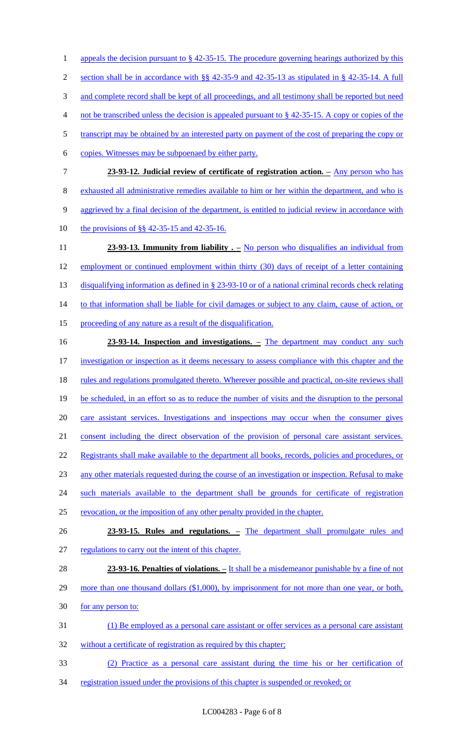1 appeals the decision pursuant to § 42-35-15. The procedure governing hearings authorized by this section shall be in accordance with §§ 42-35-9 and 42-35-13 as stipulated in § 42-35-14. A full 3 and complete record shall be kept of all proceedings, and all testimony shall be reported but need not be transcribed unless the decision is appealed pursuant to § 42-35-15. A copy or copies of the 5 transcript may be obtained by an interested party on payment of the cost of preparing the copy or copies. Witnesses may be subpoenaed by either party. **23-93-12. Judicial review of certificate of registration action. –** Any person who has exhausted all administrative remedies available to him or her within the department, and who is 9 aggrieved by a final decision of the department, is entitled to judicial review in accordance with the provisions of §§ 42-35-15 and 42-35-16. **23-93-13. Immunity from liability .** – No person who disqualifies an individual from employment or continued employment within thirty (30) days of receipt of a letter containing 13 disqualifying information as defined in § 23-93-10 or of a national criminal records check relating 14 to that information shall be liable for civil damages or subject to any claim, cause of action, or proceeding of any nature as a result of the disqualification. **23-93-14. Inspection and investigations. –** The department may conduct any such investigation or inspection as it deems necessary to assess compliance with this chapter and the 18 rules and regulations promulgated thereto. Wherever possible and practical, on-site reviews shall be scheduled, in an effort so as to reduce the number of visits and the disruption to the personal care assistant services. Investigations and inspections may occur when the consumer gives consent including the direct observation of the provision of personal care assistant services. 22 Registrants shall make available to the department all books, records, policies and procedures, or any other materials requested during the course of an investigation or inspection. Refusal to make 24 such materials available to the department shall be grounds for certificate of registration revocation, or the imposition of any other penalty provided in the chapter. **23-93-15. Rules and regulations. –** The department shall promulgate rules and regulations to carry out the intent of this chapter. **23-93-16. Penalties of violations. –** It shall be a misdemeanor punishable by a fine of not 29 more than one thousand dollars (\$1,000), by imprisonment for not more than one year, or both, 30 for any person to: (1) Be employed as a personal care assistant or offer services as a personal care assistant 32 without a certificate of registration as required by this chapter; (2) Practice as a personal care assistant during the time his or her certification of 34 registration issued under the provisions of this chapter is suspended or revoked; or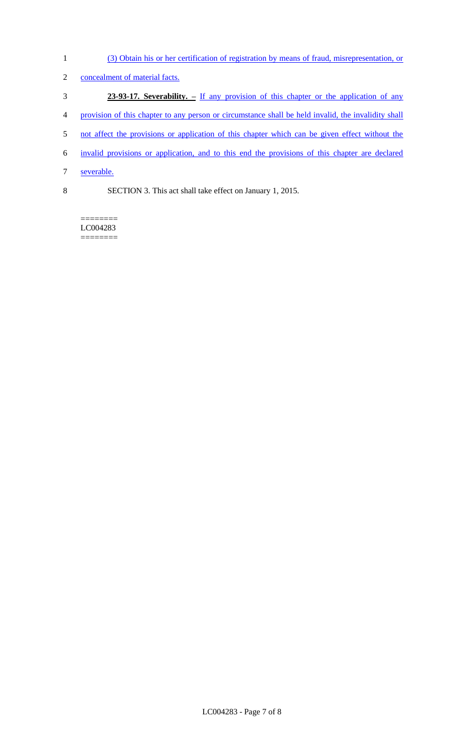(3) Obtain his or her certification of registration by means of fraud, misrepresentation, or concealment of material facts. **23-93-17. Severability. –** If any provision of this chapter or the application of any 4 provision of this chapter to any person or circumstance shall be held invalid, the invalidity shall 5 not affect the provisions or application of this chapter which can be given effect without the invalid provisions or application, and to this end the provisions of this chapter are declared severable. SECTION 3. This act shall take effect on January 1, 2015.

======== LC004283 ========